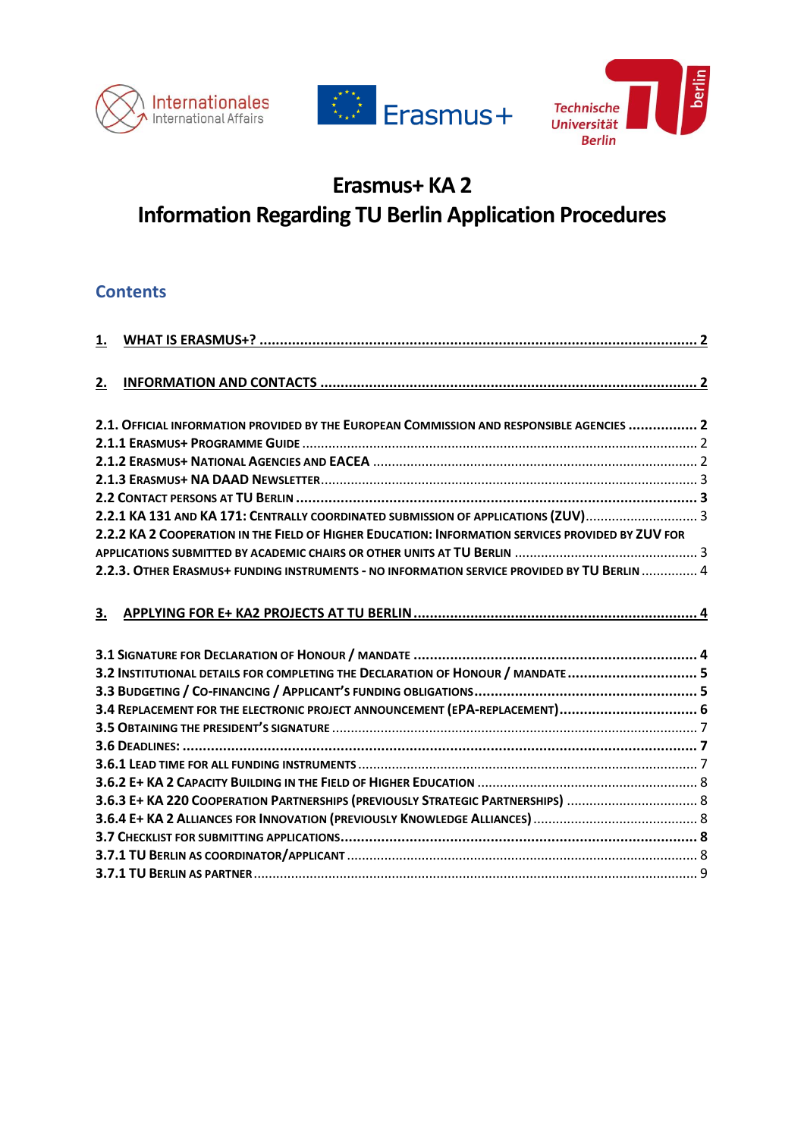





# **Erasmus+ KA 2 Information Regarding TU Berlin Application Procedures**

# **Contents**

| 1. |                                                                                                   |  |
|----|---------------------------------------------------------------------------------------------------|--|
|    |                                                                                                   |  |
| 2. |                                                                                                   |  |
|    | 2.1. OFFICIAL INFORMATION PROVIDED BY THE EUROPEAN COMMISSION AND RESPONSIBLE AGENCIES  2         |  |
|    |                                                                                                   |  |
|    |                                                                                                   |  |
|    |                                                                                                   |  |
|    |                                                                                                   |  |
|    | 2.2.1 KA 131 AND KA 171: CENTRALLY COORDINATED SUBMISSION OF APPLICATIONS (ZUV)                   |  |
|    | 2.2.2 KA 2 COOPERATION IN THE FIELD OF HIGHER EDUCATION: INFORMATION SERVICES PROVIDED BY ZUV FOR |  |
|    |                                                                                                   |  |
|    | 2.2.3. OTHER ERASMUS+ FUNDING INSTRUMENTS - NO INFORMATION SERVICE PROVIDED BY TU BERLIN  4       |  |
|    |                                                                                                   |  |
| 3. |                                                                                                   |  |
|    |                                                                                                   |  |
|    |                                                                                                   |  |
|    |                                                                                                   |  |
|    | 3.2 INSTITUTIONAL DETAILS FOR COMPLETING THE DECLARATION OF HONOUR / MANDATE 5                    |  |
|    |                                                                                                   |  |
|    | 3.4 REPLACEMENT FOR THE ELECTRONIC PROJECT ANNOUNCEMENT (EPA-REPLACEMENT) 6                       |  |
|    |                                                                                                   |  |
|    |                                                                                                   |  |
|    |                                                                                                   |  |
|    |                                                                                                   |  |
|    | 3.6.3 E+ KA 220 COOPERATION PARTNERSHIPS (PREVIOUSLY STRATEGIC PARTNERSHIPS)  8                   |  |
|    |                                                                                                   |  |
|    |                                                                                                   |  |
|    |                                                                                                   |  |
|    |                                                                                                   |  |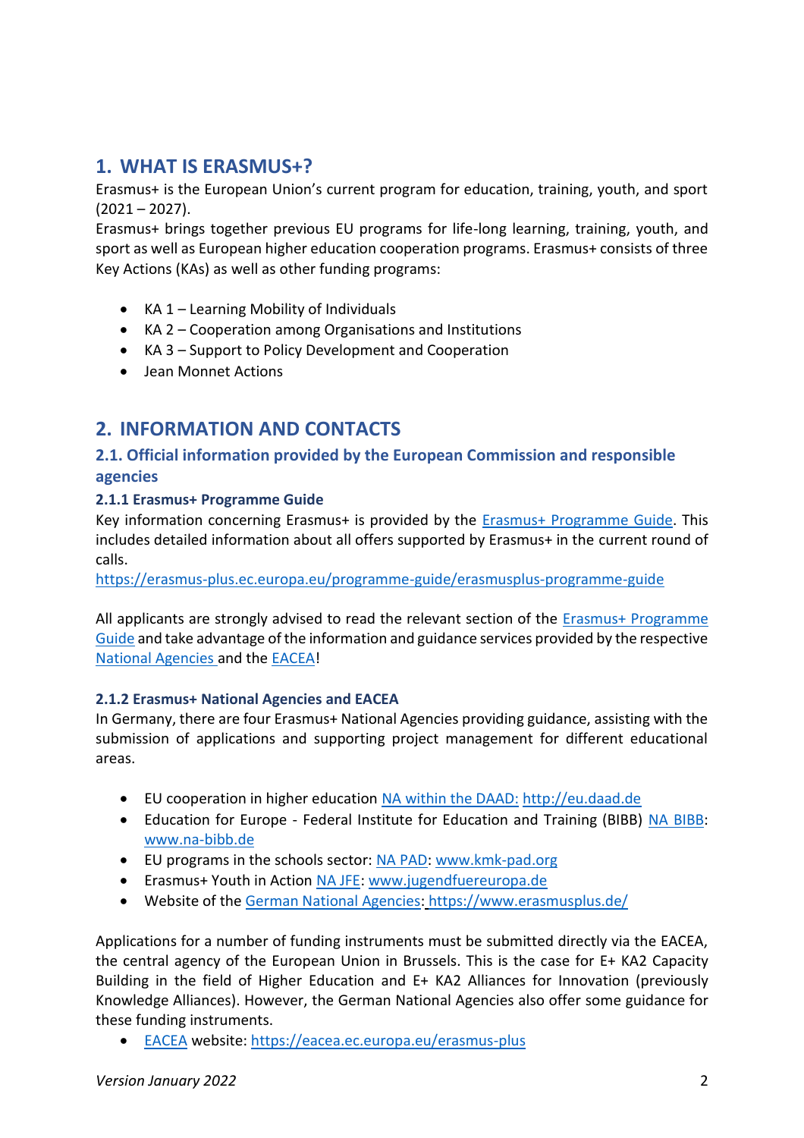# <span id="page-1-0"></span>**1. WHAT IS ERASMUS+?**

Erasmus+ is the European Union's current program for education, training, youth, and sport  $(2021 - 2027)$ .

Erasmus+ brings together previous EU programs for life-long learning, training, youth, and sport as well as European higher education cooperation programs. Erasmus+ consists of three Key Actions (KAs) as well as other funding programs:

- KA 1 Learning Mobility of Individuals
- KA 2 Cooperation among Organisations and Institutions
- KA 3 Support to Policy Development and Cooperation
- Jean Monnet Actions

# <span id="page-1-1"></span>**2. INFORMATION AND CONTACTS**

# <span id="page-1-2"></span>**2.1. Official information provided by the European Commission and responsible agencies**

### <span id="page-1-3"></span>**2.1.1 Erasmus+ Programme Guide**

Key information concerning Erasmus+ is provided by the [Erasmus+ Programme](https://erasmus-plus.ec.europa.eu/programme-guide/erasmusplus-programme-guide) Guide. This includes detailed information about all offers supported by Erasmus+ in the current round of calls.

<https://erasmus-plus.ec.europa.eu/programme-guide/erasmusplus-programme-guide>

All applicants are strongly advised to read the relevant section of the **Erasmus+ Programme** [Guide](https://erasmus-plus.ec.europa.eu/programme-guide/erasmusplus-programme-guide) and take advantage of the information and guidance services provided by the respective [National Agencies](https://www.erasmusplus.de/) and the [EACEA!](https://eacea.ec.europa.eu/erasmus-plus)

### <span id="page-1-4"></span>**2.1.2 Erasmus+ National Agencies and EACEA**

In Germany, there are four Erasmus+ National Agencies providing guidance, assisting with the submission of applications and supporting project management for different educational areas.

- EU cooperation in higher education [NA within the DAAD:](http://eu.daad.de/) [http://eu.daad.de](http://eu.daad.de/)
- Education for Europe Federal Institute for Education and Training (BIBB) [NA BIBB:](http://www.na-bibb.de/) [www.na-bibb.de](http://www.na-bibb.de/)
- EU programs in the schools sector: [NA PAD: www.kmk-pad.org](http://www.kmk-pad.org/)
- Erasmus+ Youth in Action [NA JFE: www.jugendfuereuropa.de](http://www.jugendfuereuropa.de/)
- Website of the [German National Agencies:](https://www.erasmusplus.de/) https://www.erasmusplus.de/

Applications for a number of funding instruments must be submitted directly via the EACEA, the central agency of the European Union in Brussels. This is the case for E+ KA2 Capacity Building in the field of Higher Education and E+ KA2 Alliances for Innovation (previously Knowledge Alliances). However, the German National Agencies also offer some guidance for these funding instruments.

• [EACEA](https://eacea.ec.europa.eu/erasmus-plus) website:<https://eacea.ec.europa.eu/erasmus-plus>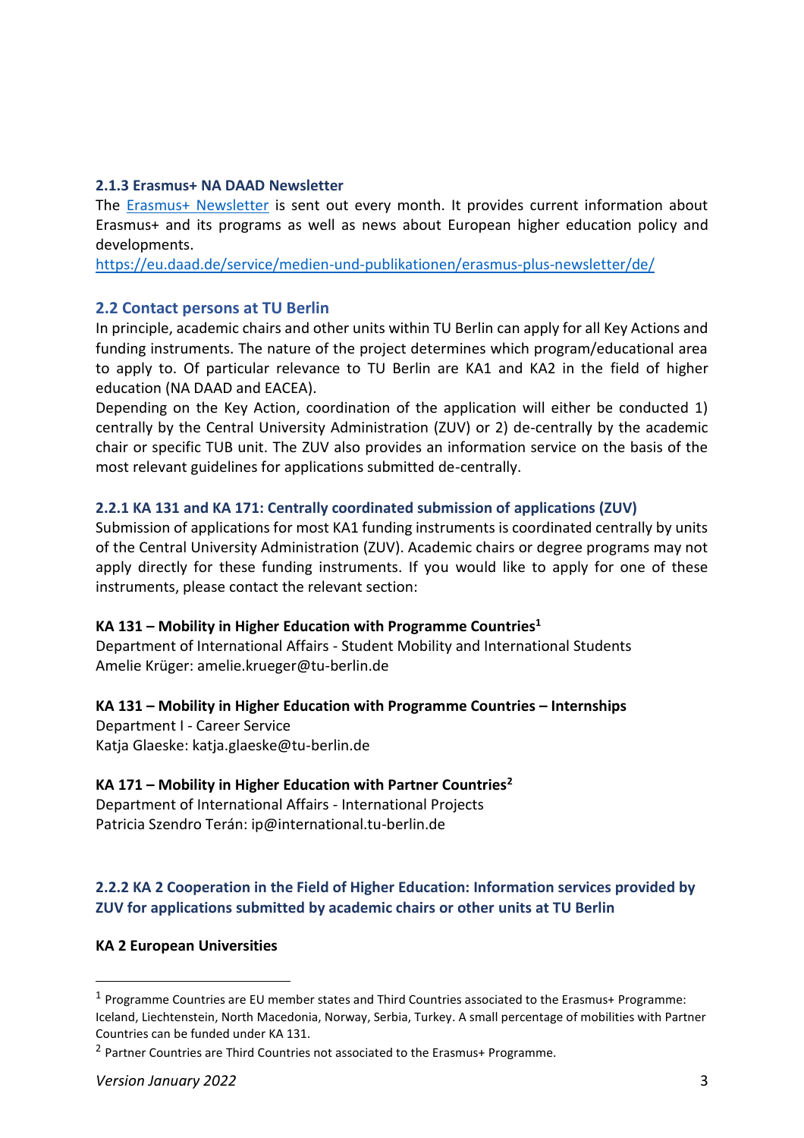### <span id="page-2-0"></span>**2.1.3 Erasmus+ NA DAAD Newsletter**

The [Erasmus+ Newsletter](https://eu.daad.de/service/medien-und-publikationen/erasmus-plus-newsletter/de/) is sent out every month. It provides current information about Erasmus+ and its programs as well as news about European higher education policy and developments.

<https://eu.daad.de/service/medien-und-publikationen/erasmus-plus-newsletter/de/>

### <span id="page-2-1"></span>**2.2 Contact persons at TU Berlin**

In principle, academic chairs and other units within TU Berlin can apply for all Key Actions and funding instruments. The nature of the project determines which program/educational area to apply to. Of particular relevance to TU Berlin are KA1 and KA2 in the field of higher education (NA DAAD and EACEA).

Depending on the Key Action, coordination of the application will either be conducted 1) centrally by the Central University Administration (ZUV) or 2) de-centrally by the academic chair or specific TUB unit. The ZUV also provides an information service on the basis of the most relevant guidelines for applications submitted de-centrally.

### <span id="page-2-2"></span>**2.2.1 KA 131 and KA 171: Centrally coordinated submission of applications (ZUV)**

Submission of applications for most KA1 funding instruments is coordinated centrally by units of the Central University Administration (ZUV). Academic chairs or degree programs may not apply directly for these funding instruments. If you would like to apply for one of these instruments, please contact the relevant section:

### **KA 131 – Mobility in Higher Education with Programme Countries<sup>1</sup>**

Department of International Affairs - Student Mobility and International Students Amelie Krüger: amelie.krueger@tu-berlin.de

### **KA 131 – Mobility in Higher Education with Programme Countries – Internships**

Department I - Career Service Katja Glaeske: katja.glaeske@tu-berlin.de

### **KA 171 – Mobility in Higher Education with Partner Countries<sup>2</sup>**

Department of International Affairs - International Projects Patricia Szendro Terán: ip@international.tu-berlin.de

### <span id="page-2-3"></span>**2.2.2 KA 2 Cooperation in the Field of Higher Education: Information services provided by ZUV for applications submitted by academic chairs or other units at TU Berlin**

### **KA 2 European Universities**

 $\overline{a}$ 

<sup>&</sup>lt;sup>1</sup> Programme Countries are EU member states and Third Countries associated to the Erasmus+ Programme: Iceland, Liechtenstein, North Macedonia, Norway, Serbia, Turkey. A small percentage of mobilities with Partner Countries can be funded under KA 131.

<sup>&</sup>lt;sup>2</sup> Partner Countries are Third Countries not associated to the Erasmus+ Programme.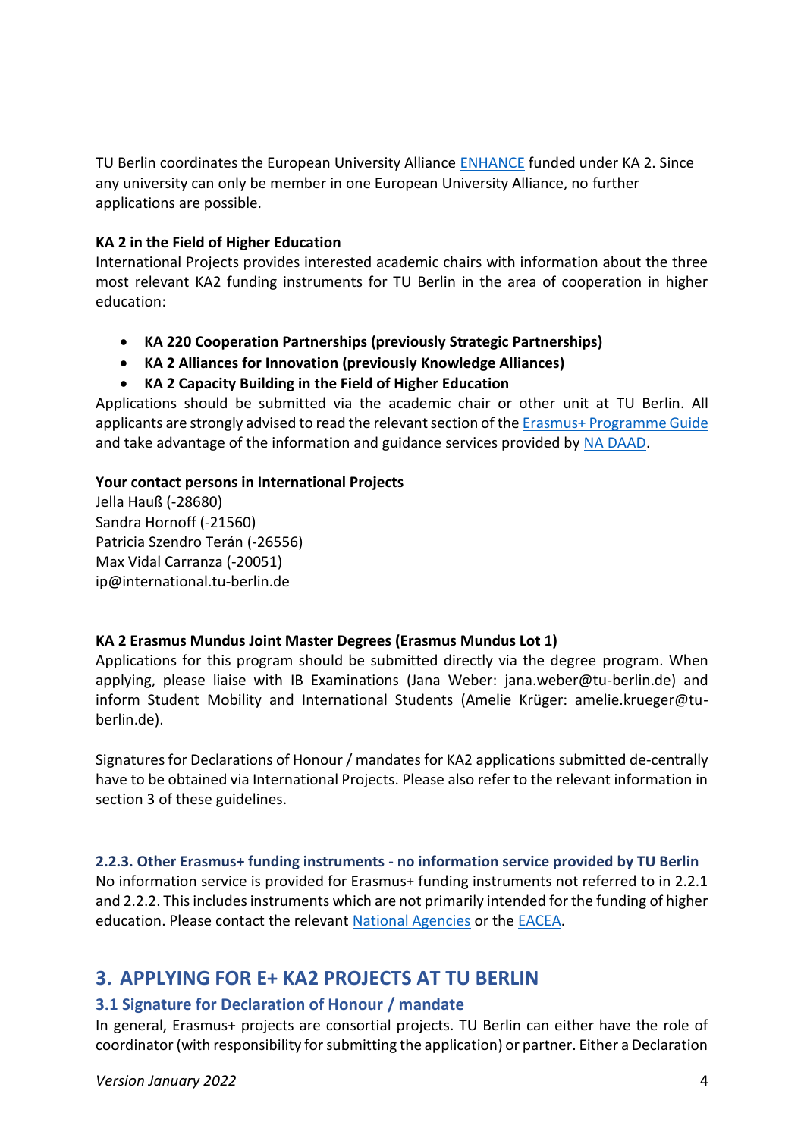TU Berlin coordinates the European University Alliance **ENHANCE** funded under KA 2. Since any university can only be member in one European University Alliance, no further applications are possible.

### **KA 2 in the Field of Higher Education**

International Projects provides interested academic chairs with information about the three most relevant KA2 funding instruments for TU Berlin in the area of cooperation in higher education:

- **KA 220 Cooperation Partnerships (previously Strategic Partnerships)**
- **KA 2 Alliances for Innovation (previously Knowledge Alliances)**
- **KA 2 Capacity Building in the Field of Higher Education**

Applications should be submitted via the academic chair or other unit at TU Berlin. All applicants are strongly advised to read the relevant section of th[e Erasmus+ Programme](https://ec.europa.eu/programmes/erasmus-plus/resources/programme-guide_en) Guide and take advantage of the information and guidance services provided by [NA DAAD.](http://eu.daad.de/)

### **Your contact persons in International Projects**

Jella Hauß (-28680) Sandra Hornoff (-21560) Patricia Szendro Terán (-26556) Max Vidal Carranza (-20051) [ip@international.tu-berlin.de](mailto:ip@international.tu-berlin.de)

### **KA 2 Erasmus Mundus Joint Master Degrees (Erasmus Mundus Lot 1)**

Applications for this program should be submitted directly via the degree program. When applying, please liaise with IB Examinations (Jana Weber: jana.weber@tu-berlin.de) and inform Student Mobility and International Students (Amelie Krüger: amelie.krueger@tuberlin.de).

Signatures for Declarations of Honour / mandates for KA2 applications submitted de-centrally have to be obtained via International Projects. Please also refer to the relevant information in section 3 of these guidelines.

### <span id="page-3-0"></span>**2.2.3. Other Erasmus+ funding instruments - no information service provided by TU Berlin**

No information service is provided for Erasmus+ funding instruments not referred to in 2.2.1 and 2.2.2. This includes instruments which are not primarily intended for the funding of higher education. Please contact the relevant [National Agencies](https://www.erasmusplus.de/) or the [EACEA.](https://eacea.ec.europa.eu/erasmus-plus)

# <span id="page-3-1"></span>**3. APPLYING FOR E+ KA2 PROJECTS AT TU BERLIN**

### <span id="page-3-2"></span>**3.1 Signature for Declaration of Honour / mandate**

In general, Erasmus+ projects are consortial projects. TU Berlin can either have the role of coordinator (with responsibility for submitting the application) or partner. Either a Declaration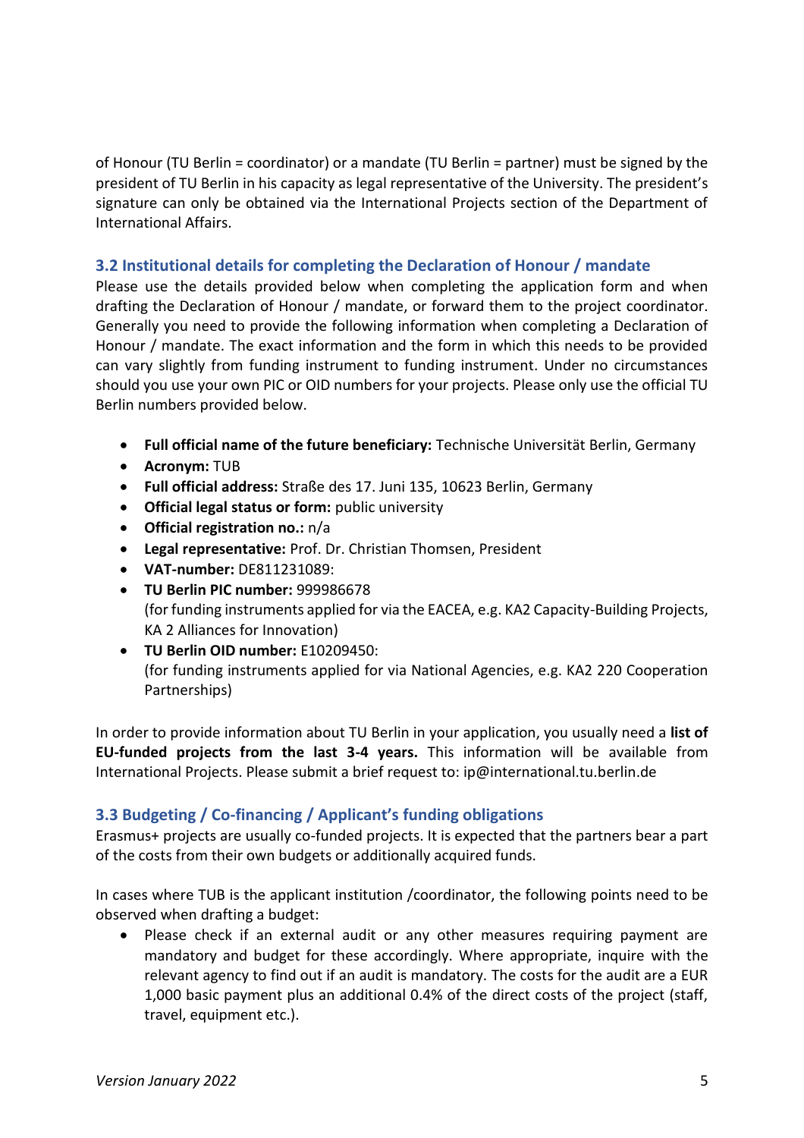of Honour (TU Berlin = coordinator) or a mandate (TU Berlin = partner) must be signed by the president of TU Berlin in his capacity as legal representative of the University. The president's signature can only be obtained via the International Projects section of the Department of International Affairs.

### <span id="page-4-0"></span>**3.2 Institutional details for completing the Declaration of Honour / mandate**

Please use the details provided below when completing the application form and when drafting the Declaration of Honour / mandate, or forward them to the project coordinator. Generally you need to provide the following information when completing a Declaration of Honour / mandate. The exact information and the form in which this needs to be provided can vary slightly from funding instrument to funding instrument. Under no circumstances should you use your own PIC or OID numbers for your projects. Please only use the official TU Berlin numbers provided below.

- **Full official name of the future beneficiary:** Technische Universität Berlin, Germany
- **Acronym:** TUB
- **Full official address:** Straße des 17. Juni 135, 10623 Berlin, Germany
- **Official legal status or form:** public university
- **Official registration no.:** n/a
- **Legal representative:** Prof. Dr. Christian Thomsen, President
- **VAT-number:** DE811231089:
- **TU Berlin PIC number:** 999986678 (for funding instruments applied for via the EACEA, e.g. KA2 Capacity-Building Projects, KA 2 Alliances for Innovation)
- **TU Berlin OID number:** E10209450: (for funding instruments applied for via National Agencies, e.g. KA2 220 Cooperation Partnerships)

In order to provide information about TU Berlin in your application, you usually need a **list of EU-funded projects from the last 3-4 years.** This information will be available from International Projects. Please submit a brief request to: ip@international.tu.berlin.de

### <span id="page-4-1"></span>**3.3 Budgeting / Co-financing / Applicant's funding obligations**

Erasmus+ projects are usually co-funded projects. It is expected that the partners bear a part of the costs from their own budgets or additionally acquired funds.

In cases where TUB is the applicant institution /coordinator, the following points need to be observed when drafting a budget:

• Please check if an external audit or any other measures requiring payment are mandatory and budget for these accordingly. Where appropriate, inquire with the relevant agency to find out if an audit is mandatory. The costs for the audit are a EUR 1,000 basic payment plus an additional 0.4% of the direct costs of the project (staff, travel, equipment etc.).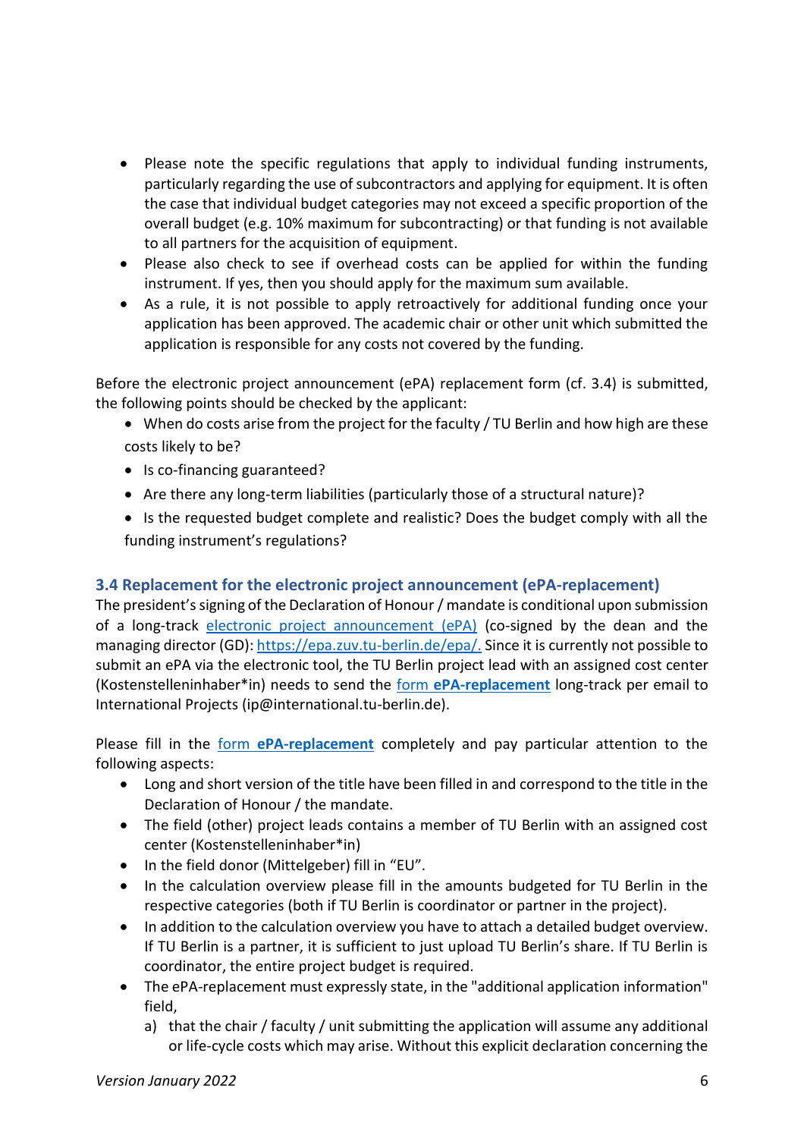- Please note the specific regulations that apply to individual funding instruments, particularly regarding the use of subcontractors and applying for equipment. It is often the case that individual budget categories may not exceed a specific proportion of the overall budget (e.g. 10% maximum for subcontracting) or that funding is not available to all partners for the acquisition of equipment.
- Please also check to see if overhead costs can be applied for within the funding instrument. If yes, then you should apply for the maximum sum available.
- As a rule, it is not possible to apply retroactively for additional funding once your application has been approved. The academic chair or other unit which submitted the application is responsible for any costs not covered by the funding.

Before the electronic project announcement (ePA) replacement form (cf. 3.4) is submitted, the following points should be checked by the applicant:

- When do costs arise from the project for the faculty / TU Berlin and how high are these costs likely to be?
- Is co-financing guaranteed?
- Are there any long-term liabilities (particularly those of a structural nature)?
- Is the requested budget complete and realistic? Does the budget comply with all the funding instrument's regulations?

# <span id="page-5-0"></span>**3.4 Replacement for the electronic project announcement (ePA-replacement)**

The president's signing of the Declaration of Honour / mandate is conditional upon submission of a long-track [electronic project announcement \(ePA\)](https://epa.zuv.tu-berlin.de/epa/) (co-signed by the dean and the managing director (GD): [https://epa.zuv.tu-berlin.de/epa/.](https://epa.zuv.tu-berlin.de/epa/) Since it is currently not possible to submit an ePA via the electronic tool, the TU Berlin project lead with an assigned cost center (Kostenstelleninhaber\*in) needs to send the form **[ePA-replacement](https://www.naturwissenschaften.tu-berlin.de/fileadmin/f2_internationalesfak2/ePA-ERSATZ_EPlus.docx)** long-track per email to International Projects (ip@international.tu-berlin.de).

Please fill in the form **[ePA-replacement](https://www.naturwissenschaften.tu-berlin.de/fileadmin/f2_internationalesfak2/ePA-ERSATZ_EPlus.docx)** completely and pay particular attention to the following aspects:

- Long and short version of the title have been filled in and correspond to the title in the Declaration of Honour / the mandate.
- The field (other) project leads contains a member of TU Berlin with an assigned cost center (Kostenstelleninhaber\*in)
- In the field donor (Mittelgeber) fill in "EU".
- In the calculation overview please fill in the amounts budgeted for TU Berlin in the respective categories (both if TU Berlin is coordinator or partner in the project).
- In addition to the calculation overview you have to attach a detailed budget overview. If TU Berlin is a partner, it is sufficient to just upload TU Berlin's share. If TU Berlin is coordinator, the entire project budget is required.
- The ePA-replacement must expressly state, in the "additional application information" field,
	- a) that the chair / faculty / unit submitting the application will assume any additional or life-cycle costs which may arise. Without this explicit declaration concerning the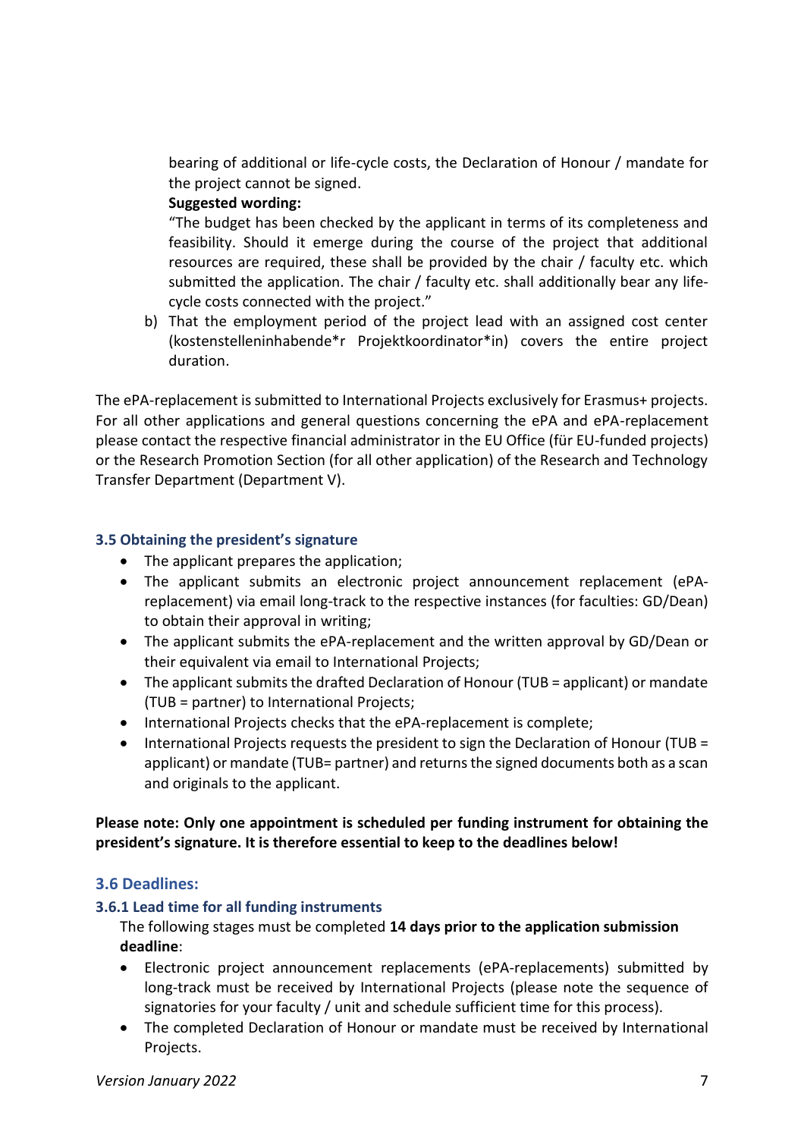bearing of additional or life-cycle costs, the Declaration of Honour / mandate for the project cannot be signed.

### **Suggested wording:**

"The budget has been checked by the applicant in terms of its completeness and feasibility. Should it emerge during the course of the project that additional resources are required, these shall be provided by the chair / faculty etc. which submitted the application. The chair / faculty etc. shall additionally bear any lifecycle costs connected with the project."

b) That the employment period of the project lead with an assigned cost center (kostenstelleninhabende\*r Projektkoordinator\*in) covers the entire project duration.

The ePA-replacement is submitted to International Projects exclusively for Erasmus+ projects. For all other applications and general questions concerning the ePA and ePA-replacement please contact the respective financial administrator in the EU Office (für EU-funded projects) or the Research Promotion Section (for all other application) of the Research and Technology Transfer Department (Department V).

### <span id="page-6-0"></span>**3.5 Obtaining the president's signature**

- The applicant prepares the application;
- The applicant submits an electronic project announcement replacement (ePAreplacement) via email long-track to the respective instances (for faculties: GD/Dean) to obtain their approval in writing;
- The applicant submits the ePA-replacement and the written approval by GD/Dean or their equivalent via email to International Projects;
- The applicant submits the drafted Declaration of Honour (TUB = applicant) or mandate (TUB = partner) to International Projects;
- International Projects checks that the ePA-replacement is complete;
- International Projects requests the president to sign the Declaration of Honour (TUB = applicant) or mandate (TUB= partner) and returns the signed documents both as a scan and originals to the applicant.

### **Please note: Only one appointment is scheduled per funding instrument for obtaining the president's signature. It is therefore essential to keep to the deadlines below!**

### <span id="page-6-1"></span>**3.6 Deadlines:**

### <span id="page-6-2"></span>**3.6.1 Lead time for all funding instruments**

The following stages must be completed **14 days prior to the application submission deadline**:

- Electronic project announcement replacements (ePA-replacements) submitted by long-track must be received by International Projects (please note the sequence of signatories for your faculty / unit and schedule sufficient time for this process).
- The completed Declaration of Honour or mandate must be received by International Projects.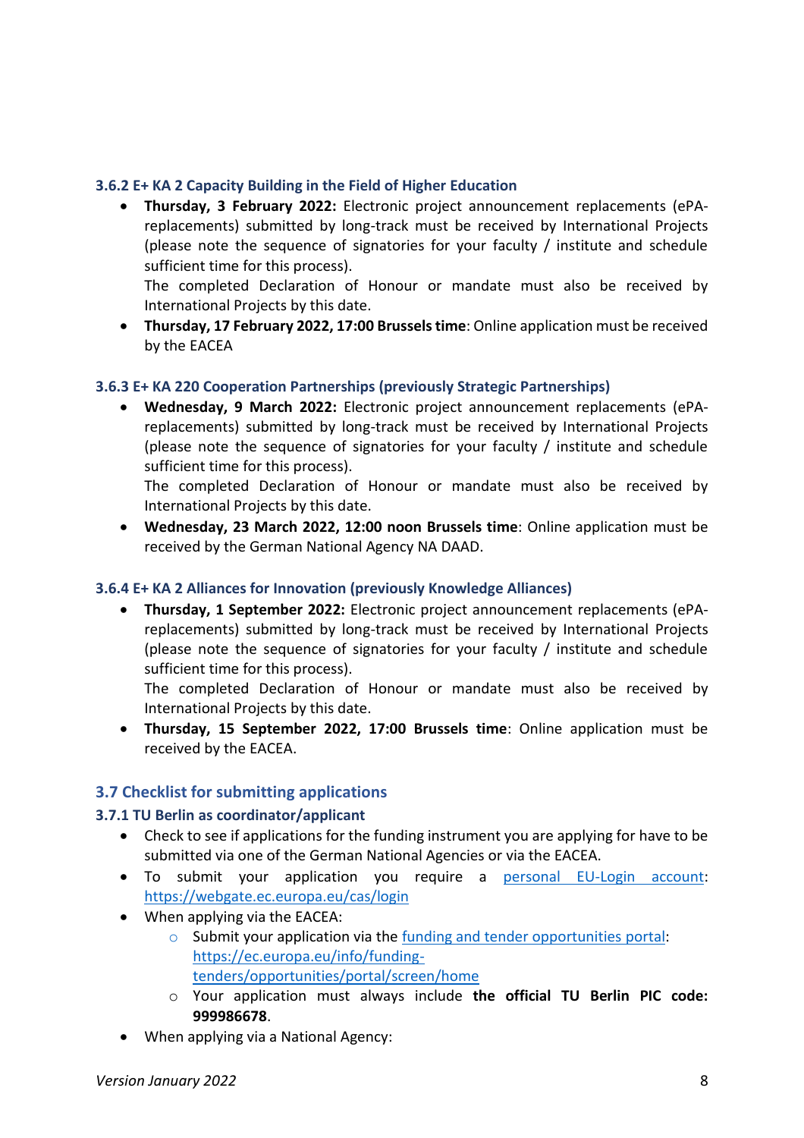### <span id="page-7-0"></span>**3.6.2 E+ KA 2 Capacity Building in the Field of Higher Education**

• **Thursday, 3 February 2022:** Electronic project announcement replacements (ePAreplacements) submitted by long-track must be received by International Projects (please note the sequence of signatories for your faculty / institute and schedule sufficient time for this process).

The completed Declaration of Honour or mandate must also be received by International Projects by this date.

• **Thursday, 17 February 2022, 17:00 Brusselstime**: Online application must be received by the EACEA

### <span id="page-7-1"></span>**3.6.3 E+ KA 220 Cooperation Partnerships (previously Strategic Partnerships)**

• **Wednesday, 9 March 2022:** Electronic project announcement replacements (ePAreplacements) submitted by long-track must be received by International Projects (please note the sequence of signatories for your faculty / institute and schedule sufficient time for this process).

The completed Declaration of Honour or mandate must also be received by International Projects by this date.

• **Wednesday, 23 March 2022, 12:00 noon Brussels time**: Online application must be received by the German National Agency NA DAAD.

### <span id="page-7-2"></span>**3.6.4 E+ KA 2 Alliances for Innovation (previously Knowledge Alliances)**

• **Thursday, 1 September 2022:** Electronic project announcement replacements (ePAreplacements) submitted by long-track must be received by International Projects (please note the sequence of signatories for your faculty / institute and schedule sufficient time for this process).

The completed Declaration of Honour or mandate must also be received by International Projects by this date.

• **Thursday, 15 September 2022, 17:00 Brussels time**: Online application must be received by the EACEA.

# <span id="page-7-3"></span>**3.7 Checklist for submitting applications**

### <span id="page-7-4"></span>**3.7.1 TU Berlin as coordinator/applicant**

- Check to see if applications for the funding instrument you are applying for have to be submitted via one of the German National Agencies or via the EACEA.
- To submit your application you require a [personal EU-Login account:](https://webgate.ec.europa.eu/cas/login?loginRequestId=ECAS_LR-48687499-1l5UdAWpljPy52zlGkqX9eG4IzODs1v3YW6zzVsY3gCw4h35QwWwPe1329UGpzaH84EVhQC1hthDxDa0d5MSn6w-jpJZscgsw0KqCEzyqc8H5n-zOKs3BWrNV1qzLjcliNHWhuu6uefkH4MfVtxcOjY4Sum) <https://webgate.ec.europa.eu/cas/login>
- When applying via the EACEA:
	- o Submit your application via the [funding and tender opportunities](https://ec.europa.eu/info/funding-tenders/opportunities/portal/screen/home) portal: https://ec.europa.eu/info/fundingtenders/opportunities/portal/screen/home
	- o Your application must always include **the official TU Berlin PIC code: 999986678**.
- When applying via a National Agency: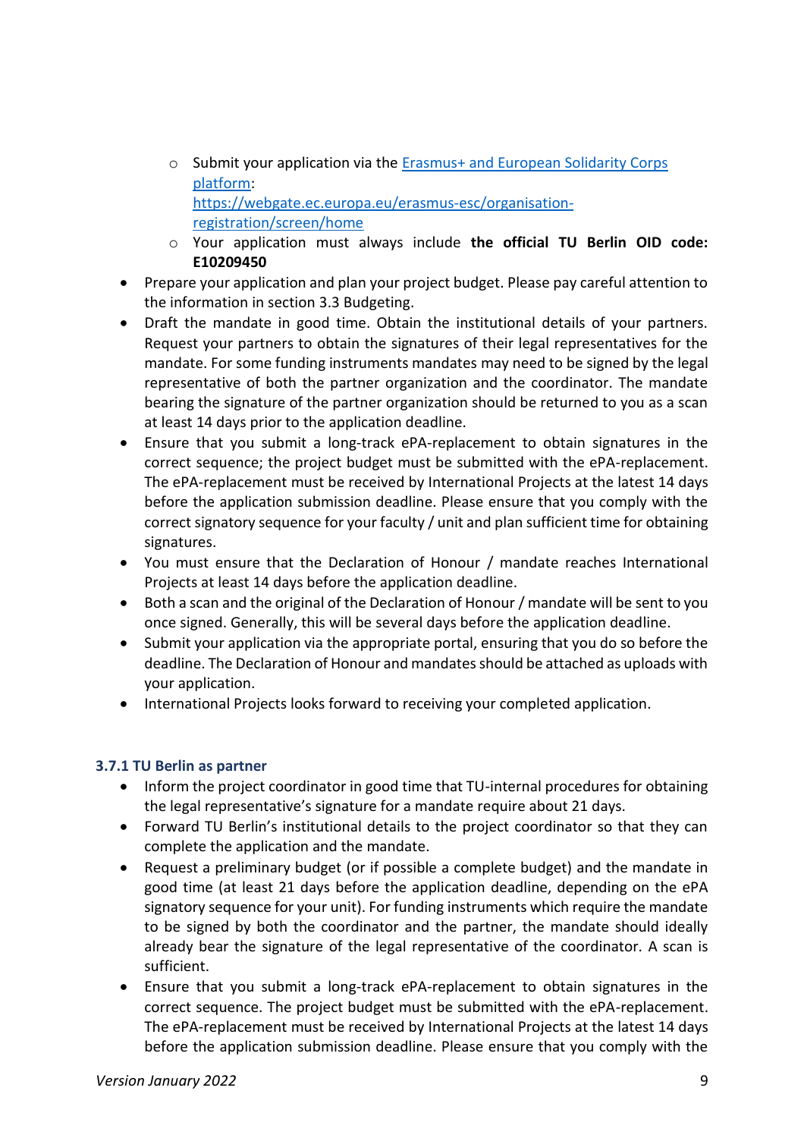- o Submit your application via the [Erasmus+ and European Solidarity Corps](https://webgate.ec.europa.eu/erasmus-esc/organisation-registration/screen/home)  [platform:](https://webgate.ec.europa.eu/erasmus-esc/organisation-registration/screen/home) [https://webgate.ec.europa.eu/erasmus-esc/organisation](https://webgate.ec.europa.eu/erasmus-esc/organisation-registration/screen/home)[registration/screen/home](https://webgate.ec.europa.eu/erasmus-esc/organisation-registration/screen/home)
- o Your application must always include **the official TU Berlin OID code: E10209450**
- Prepare your application and plan your project budget. Please pay careful attention to the information in section 3.3 Budgeting.
- Draft the mandate in good time. Obtain the institutional details of your partners. Request your partners to obtain the signatures of their legal representatives for the mandate. For some funding instruments mandates may need to be signed by the legal representative of both the partner organization and the coordinator. The mandate bearing the signature of the partner organization should be returned to you as a scan at least 14 days prior to the application deadline.
- Ensure that you submit a long-track ePA-replacement to obtain signatures in the correct sequence; the project budget must be submitted with the ePA-replacement. The ePA-replacement must be received by International Projects at the latest 14 days before the application submission deadline. Please ensure that you comply with the correct signatory sequence for your faculty / unit and plan sufficient time for obtaining signatures.
- You must ensure that the Declaration of Honour / mandate reaches International Projects at least 14 days before the application deadline.
- Both a scan and the original of the Declaration of Honour / mandate will be sent to you once signed. Generally, this will be several days before the application deadline.
- Submit your application via the appropriate portal, ensuring that you do so before the deadline. The Declaration of Honour and mandates should be attached as uploads with your application.
- International Projects looks forward to receiving your completed application.

# <span id="page-8-0"></span>**3.7.1 TU Berlin as partner**

- Inform the project coordinator in good time that TU-internal procedures for obtaining the legal representative's signature for a mandate require about 21 days.
- Forward TU Berlin's institutional details to the project coordinator so that they can complete the application and the mandate.
- Request a preliminary budget (or if possible a complete budget) and the mandate in good time (at least 21 days before the application deadline, depending on the ePA signatory sequence for your unit). For funding instruments which require the mandate to be signed by both the coordinator and the partner, the mandate should ideally already bear the signature of the legal representative of the coordinator. A scan is sufficient.
- Ensure that you submit a long-track ePA-replacement to obtain signatures in the correct sequence. The project budget must be submitted with the ePA-replacement. The ePA-replacement must be received by International Projects at the latest 14 days before the application submission deadline. Please ensure that you comply with the